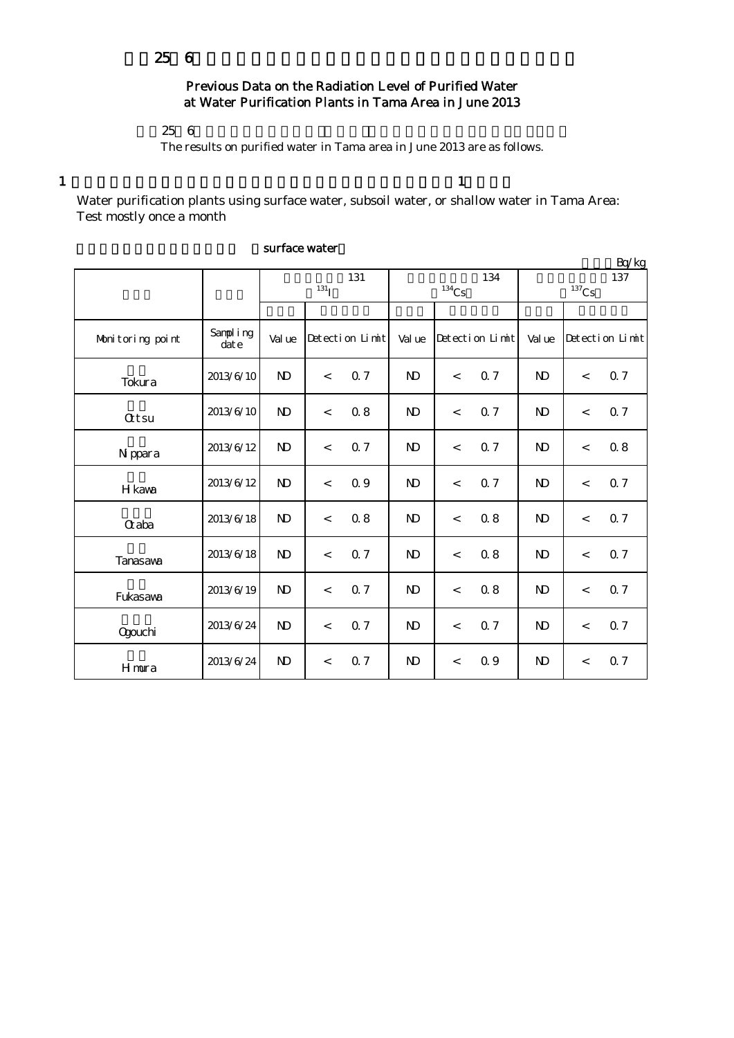## Previous Data on the Radiation Level of Purified Water at Water Purification Plants in Tama Area in June 2013

 $256$ 

The results on purified water in Tama area in June 2013 are as follows.

1  $\frac{1}{1}$ 

Water purification plants using surface water, subsoil water, or shallow water in Tama Area: Test mostly once a month

|                  |                   |                         |         |                 |                |                          |                 |                 |                          | Bq/kg           |
|------------------|-------------------|-------------------------|---------|-----------------|----------------|--------------------------|-----------------|-----------------|--------------------------|-----------------|
|                  |                   | 131<br>131 <sub>I</sub> |         |                 |                | $134$ Cs                 | 134             | 137<br>$137$ Cs |                          |                 |
|                  |                   |                         |         |                 |                |                          |                 |                 |                          |                 |
| Monitoring point | Sampling<br>dat e | Val ue                  |         | Detection Limit | Val ue         |                          | Detection Limit | Val ue          |                          | Detection Limit |
| Tokura           | 2013/6/10         | $\mathbf{N}$            | $\,<$   | 0.7             | $\mathbf{N}$   | $\,<$                    | 0.7             | $\mathbf{D}$    | $\,<$                    | Q 7             |
| <b>Qtsu</b>      | 2013/6/10         | $\mathbf{D}$            | $\,<$   | 0.8             | $\mathbf{D}$   | $\,<$                    | 0.7             | N <sub>D</sub>  | $\,<$                    | Q <sub>7</sub>  |
| N ppara          | 2013/6/12         | $\mathbf{N}$            | $\lt$   | 0.7             | $\mathbf{D}$   | $\,<$                    | 0.7             | N <sub>D</sub>  | $\overline{\phantom{a}}$ | 0.8             |
| H kava           | 2013/6/12         | $\mathbf{D}$            | $\,<$   | 0.9             | $\mathbf{N}$   | $\,<$                    | <b>Q7</b>       | N <sub>D</sub>  | $\,<$                    | 0.7             |
| <b>G</b> aba     | 2013/6/18         | $\mathbf{N}$            | $\,<\,$ | 0.8             | $\mathbf{D}$   | $\,<$                    | 0.8             | $\mathbf{N}$    | $\overline{\phantom{a}}$ | 0.7             |
| Tanasava         | 2013/6/18         | $\mathbf{N}$            | $\lt$   | 0.7             | N <sub>D</sub> | $\overline{\phantom{a}}$ | 0.8             | $\mathbf{N}$    | $\overline{\phantom{a}}$ | 0.7             |
| Fukasawa         | 2013/6/19         | $\mathbf{N}$            | $\,<\,$ | 0.7             | $\mathbf{D}$   | $\,<$                    | 0.8             | N <sub>D</sub>  | $\,<$                    | 0.7             |
| Qgouchi          | 2013/6/24         | $\mathbf{N}$            | $\,<$   | 0.7             | $\mathbf{N}$   | $\,<$                    | 0.7             | $\mathbf{N}$    | $\,<$                    | Q 7             |
| Hmura            | 2013/6/24         | $\mathbf{N}$            | $\,<$   | 0.7             | N)             | $\,<$                    | 0.9             | N <sub>D</sub>  | $\,<$                    | 0.7             |

## surface water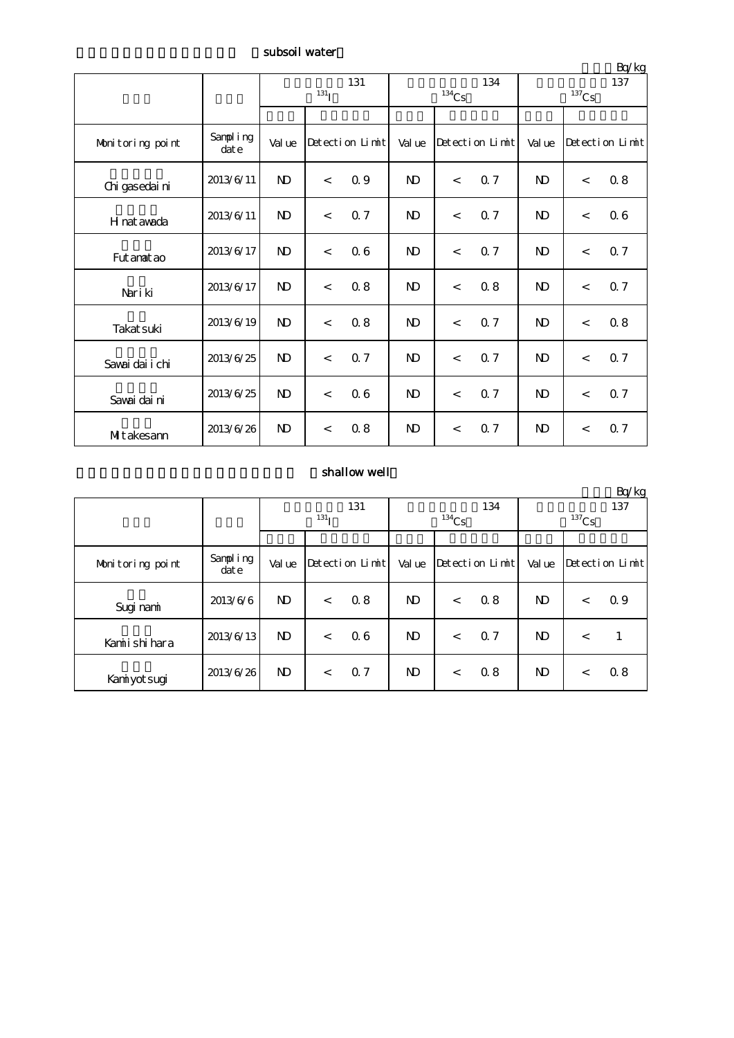subsoil water

| Bq/kg            |                   |                           |       |                 |                |                     |                 |                 |                          |                 |  |
|------------------|-------------------|---------------------------|-------|-----------------|----------------|---------------------|-----------------|-----------------|--------------------------|-----------------|--|
|                  |                   | 131<br>$131$ <sup>T</sup> |       |                 |                | $^{134}\mathrm{Cs}$ | 134             | 137<br>$137$ Cs |                          |                 |  |
|                  |                   |                           |       |                 |                |                     |                 |                 |                          |                 |  |
| Monitoring point | Sampling<br>dat e | Val ue                    |       | Detection Limit | Val ue         |                     | Detection Limit | Val ue          |                          | Detection Limit |  |
| Chi gasedai ni   | 2013/6/11         | $\mathbf{N}$              | $\lt$ | 0.9             | $\mathbf{D}$   | $\lt$               | 0.7             | $\mathbf{D}$    | $\,<$                    | 0.8             |  |
| H nat avada      | 2013/6/11         | $\mathbf{N}$              | $\lt$ | 0.7             | $\mathbf{D}$   | $\lt$               | 0.7             | $\mathbf{D}$    | $\overline{\phantom{a}}$ | 06              |  |
| Fut anat ao      | 2013/6/17         | $\mathbf{N}$              | $\lt$ | 06              | N)             | $\lt$               | 0.7             | N <sub>D</sub>  | $\,<$                    | 0.7             |  |
| Nari ki          | 2013/6/17         | $\mathbf{N}$              | $\lt$ | 0.8             | $\mathbf{N}$   | $\lt$               | 0.8             | $\mathbf{D}$    | $\overline{\phantom{a}}$ | 0.7             |  |
| Takat suki       | 2013/6/19         | $\mathbf{D}$              | $\lt$ | 0.8             | $\mathbf{D}$   | $\lt$               | 0.7             | $\mathbf{D}$    | $\lt$                    | 0.8             |  |
| Savai dai i chi  | 2013/6/25         | $\mathbf{D}$              | $\lt$ | 0.7             | ND.            | $\,<$               | 0.7             | N <sub>D</sub>  | $\,<$                    | Q 7             |  |
| Savai dai ni     | 2013/6/25         | $\mathbf{N}$              | $\lt$ | 06              | $\mathbf{D}$   | $\lt$               | 0.7             | N <sub>D</sub>  | $\overline{\phantom{a}}$ | 0.7             |  |
| MItakesann       | 2013/6/26         | $\mathbf{N}$              | $\lt$ | 0.8             | N <sub>D</sub> | $\lt$               | 0.7             | N <sub>D</sub>  | $\overline{\phantom{a}}$ | 0.7             |  |

## shallow well

|                  |                   |                         |         |                 |                |          |                 |                       |         | Bq/kg           |  |
|------------------|-------------------|-------------------------|---------|-----------------|----------------|----------|-----------------|-----------------------|---------|-----------------|--|
|                  |                   | 131<br>131 <sub>T</sub> |         |                 |                |          | 134             | 137                   |         |                 |  |
|                  |                   |                         |         |                 |                | $134$ Cs |                 | ${}^{137}\mathrm{Cs}$ |         |                 |  |
|                  |                   |                         |         |                 |                |          |                 |                       |         |                 |  |
| Monitoring point | Sampling<br>dat e | Val ue                  |         | Detection Limit | Val ue         |          | Detection Limit | Val ue                |         | Detection Limit |  |
| Sugi nami        | 2013/6/6          | N <sub>D</sub>          | $\,<\,$ | 0.8             | ND.            | $\,<$    | 0.8             | ND.                   | $\,<\,$ | 0.9             |  |
| Kamiishihara     | 2013/6/13         | $\mathbf{D}$            | $\lt$   | 06              | N <sub>D</sub> | $\,<\,$  | 0.7             | ND.                   | $\,<\,$ |                 |  |
| Kaniyotsugi      | 2013/6/26         | ND.                     | $\,<\,$ | 0.7             | ND.            | $\,<\,$  | 0.8             | ND.                   | $\,<\,$ | 0.8             |  |